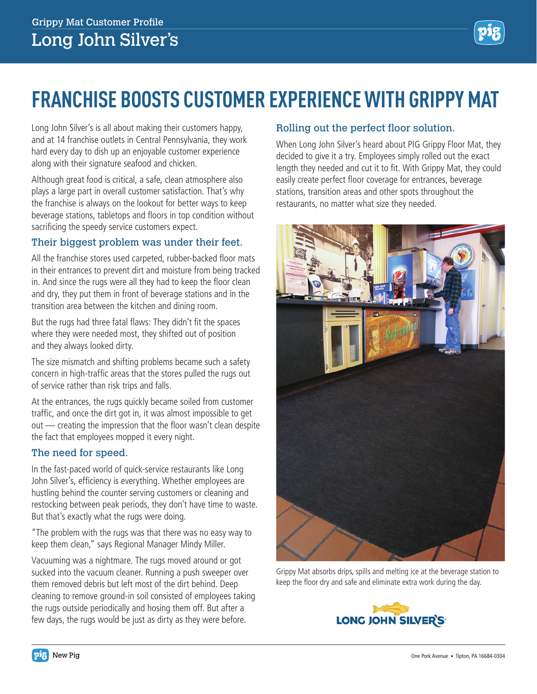

## **FRANCHISE BOOSTS CUSTOMER EXPERIENCE WITH GRIPPY MAT**

Long John Silver's is all about making their customers happy, and at 14 franchise outlets in Central Pennsylvania, they work hard every day to dish up an enjoyable customer experience along with their signature seafood and chicken.

Although great food is critical, a safe, clean atmosphere also plays a large part in overall customer satisfaction. That's why the franchise is always on the lookout for better ways to keep beverage stations, tabletops and floors in top condition without sacrificing the speedy service customers expect.

## Their biggest problem was under their feet.

All the franchise stores used carpeted, rubber-backed floor mats in their entrances to prevent dirt and moisture from being tracked in. And since the rugs were all they had to keep the floor clean and dry, they put them in front of beverage stations and in the transition area between the kitchen and dining room.

But the rugs had three fatal flaws: They didn't fit the spaces where they were needed most, they shifted out of position and they always looked dirty.

The size mismatch and shifting problems became such a safety concern in high-traffic areas that the stores pulled the rugs out of service rather than risk trips and falls.

At the entrances, the rugs quickly became soiled from customer traffic, and once the dirt got in, it was almost impossible to get out — creating the impression that the floor wasn't clean despite the fact that employees mopped it every night.

## The need for speed.

In the fast-paced world of quick-service restaurants like Long John Silver's, efficiency is everything. Whether employees are hustling behind the counter serving customers or cleaning and restocking between peak periods, they don't have time to waste. But that's exactly what the rugs were doing.

"The problem with the rugs was that there was no easy way to keep them clean," says Regional Manager Mindy Miller.

Vacuuming was a nightmare. The rugs moved around or got sucked into the vacuum cleaner. Running a push sweeper over them removed debris but left most of the dirt behind. Deep cleaning to remove ground-in soil consisted of employees taking the rugs outside periodically and hosing them off. But after a few days, the rugs would be just as dirty as they were before.

## Rolling out the perfect floor solution.

When Long John Silver's heard about PIG Grippy Floor Mat, they decided to give it a try. Employees simply rolled out the exact length they needed and cut it to fit. With Grippy Mat, they could easily create perfect floor coverage for entrances, beverage stations, transition areas and other spots throughout the restaurants, no matter what size they needed.



Grippy Mat absorbs drips, spills and melting ice at the beverage station to keep the floor dry and safe and eliminate extra work during the day.